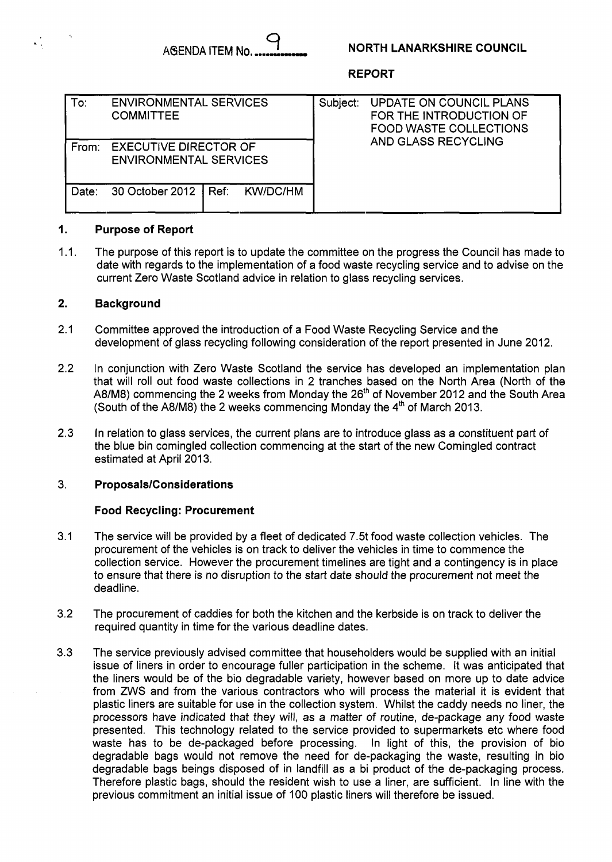## **NORTH LANARKSHIRE COUNCIL**

### **REPORT**

| To:   | <b>ENVIRONMENTAL SERVICES</b><br><b>COMMITTEE</b>             |  |  | Subject: | UPDATE ON COUNCIL PLANS<br>FOR THE INTRODUCTION OF<br><b>FOOD WASTE COLLECTIONS</b><br>AND GLASS RECYCLING |
|-------|---------------------------------------------------------------|--|--|----------|------------------------------------------------------------------------------------------------------------|
| From: | <b>EXECUTIVE DIRECTOR OF</b><br><b>ENVIRONMENTAL SERVICES</b> |  |  |          |                                                                                                            |
| Date: | 30 October 2012   Ref: KW/DC/HM                               |  |  |          |                                                                                                            |

#### **1. Purpose of Report**

1.1. The purpose of this report is to update the committee on the progress the Council has made to date with regards to the implementation of a food waste recycling service and to advise on the current Zero Waste Scotland advice in relation to glass recycling services.

#### **2. Background**

- 2.1 Committee approved the introduction of a Food Waste Recycling Service and the development of glass recycling following consideration of the report presented in June 2012.
- 2.2 In conjunction with Zero Waste Scotland the service has developed an implementation plan that will roll out food waste collections in 2 tranches based on the North Area (North of the A8/M8) commencing the 2 weeks from Monday the 26'h of November 2012 and the South Area (South of the A8/M8) the 2 weeks commencing Monday the 4'h of March 2013.
- 2.3 In relation to glass services, the current plans are to introduce glass as a constituent part of the blue bin comingled collection commencing at the start of the new Comingled contract estimated at April 2013.

#### 3. **Proposals/Considerations**

### **Food Recycling: Procurement**

- 3.1 The service will be provided by a fleet of dedicated 7.5t food waste collection vehicles. The procurement of the vehicles is on track to deliver the vehicles in time to commence the collection service. However the procurement timelines are tight and a contingency is in place to ensure that there is no disruption to the start date should the procurement not meet the deadline.
- 3.2 The procurement of caddies for both the kitchen and the kerbside is on track to deliver the required quantity in time for the various deadline dates.
- 3.3 The service previously advised committee that householders would be supplied with an initial issue of liners in order to encourage fuller participation in the scheme. It was anticipated that the liners would be of the bio degradable variety, however based on more up to date advice from ZWS and from the various contractors who will process the material it is evident that plastic liners are suitable for use in the collection system. Whilst the caddy needs no liner, the processors have indicated that they will, *as a* matter of routine, de-package any food waste presented. This technology related to the service provided to supermarkets etc where food waste has to be de-packaged before processing. In light of this, the provision of bio degradable bags would not remove the need for de-packaging the waste, resulting in bio degradable bags beings disposed of in landfill as a bi product of the de-packaging process. Therefore plastic bags, should the resident wish to use a liner, are sufficient. In line with the previous commitment an initial issue of 100 plastic liners will therefore be issued.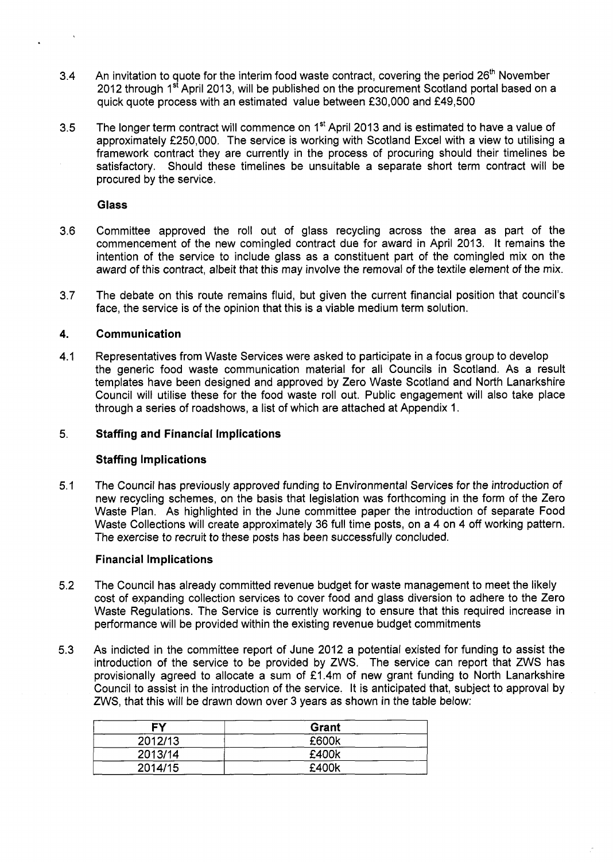- 3.4 An invitation to quote for the interim food waste contract, covering the period 26<sup>th</sup> November 2012 through 1<sup>st</sup> April 2013, will be published on the procurement Scotland portal based on a quick quote process with an estimated value between £30,000 and £49,500
- 3.5 The longer term contract will commence on 1<sup>st</sup> April 2013 and is estimated to have a value of approximately £250,000. The service is working with Scotland Excel with a view to utilising a framework contract they are currently in the process of procuring should their timelines be satisfactory. Should these timelines be unsuitable a separate short term contract will be procured by the service.

### **Glass**

- 3.6 Committee approved the roll out of glass recycling across the area as part of the commencement of the new comingled contract due for award in April 2013. It remains the intention of the service to include glass as a constituent part of the comingled mix on the award of this contract, albeit that this may involve the removal of the textile element of the mix.
- 3.7 The debate on this route remains fluid, but given the current financial position that council's face, the service is of the opinion that this is a viable medium term solution.

#### **4. Communication**

4.1 Representatives from Waste Services were asked to participate in a focus group to develop the generic food waste communication material for all Councils in Scotland. As a result templates have been designed and approved by Zero Waste Scotland and North Lanarkshire Council will utilise these for the food waste roll out. Public engagement will also take place through a series of roadshows, a list of which are attached at Appendix 1.

#### 5. **Staffing and Financial Implications**

### **Staffing Implications**

5.1 The Council has previously approved funding to Environmental Services for the introduction of new recycling schemes, on the basis that legislation was forthcoming in the form of the Zero Waste Plan. As highlighted in the June committee paper the introduction of separate Food Waste Collections will create approximately 36 full time posts, on a 4 on 4 off working pattern. The exercise to recruit to these posts has been successfully concluded.

### **Financial Implications**

- 5.2 The Council has already committed revenue budget for waste management to meet the likely cost of expanding collection services to cover food and glass diversion to adhere to the Zero Waste Regulations. The Service is currently working to ensure that this required increase in performance will be provided within the existing revenue budget commitments
- 5.3 As indicted in the committee report of June 2012 a potential existed for funding to assist the introduction of the service to be provided by ZWS. The service can report that ZWS has provisionally agreed to allocate a sum of  $£1.4m$  of new grant funding to North Lanarkshire Council to assist in the introduction of the service. It is anticipated that, subject to approval by ZWS, that this will be drawn down over 3 years as shown in the table below:

| <b>FY</b> | Grant |
|-----------|-------|
| 2012/13   | £600k |
| 2013/14   | £400k |
| 2014/15   | £400k |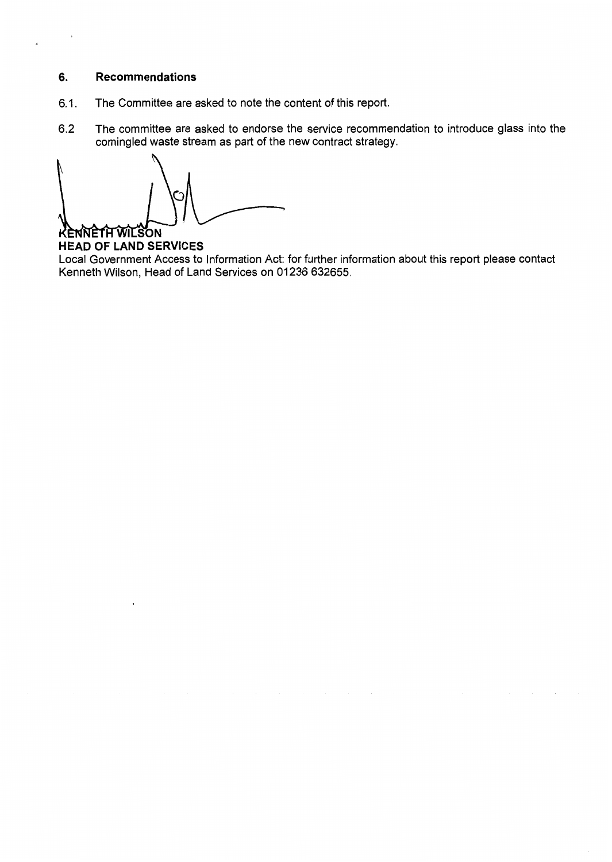#### **6. Recommendations**

- 6.1. The Committee are asked to note the content of this report.
- 6.2 The committee are asked to endorse the service recommendation to introduce glass into the comingled waste stream as part of the new contract strategy.

KENNETH WILSON

**HEAD OF LAND SERVICES**  Local Government Access to Information Act: for further information about this report please contact Kenneth Wilson, Head of Land Services on 01236 632655.